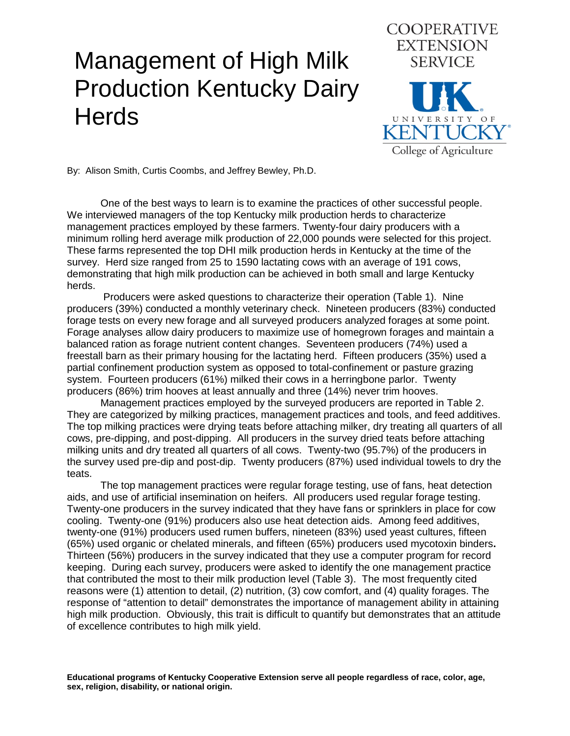## Management of High Milk Production Kentucky Dairy **Herds**



By: Alison Smith, Curtis Coombs, and Jeffrey Bewley, Ph.D.

One of the best ways to learn is to examine the practices of other successful people. We interviewed managers of the top Kentucky milk production herds to characterize management practices employed by these farmers. Twenty-four dairy producers with a minimum rolling herd average milk production of 22,000 pounds were selected for this project. These farms represented the top DHI milk production herds in Kentucky at the time of the survey. Herd size ranged from 25 to 1590 lactating cows with an average of 191 cows, demonstrating that high milk production can be achieved in both small and large Kentucky herds.

Producers were asked questions to characterize their operation (Table 1). Nine producers (39%) conducted a monthly veterinary check.Nineteen producers (83%) conducted forage tests on every new forage and all surveyed producers analyzed forages at some point. Forage analyses allow dairy producers to maximize use of homegrown forages and maintain a balanced ration as forage nutrient content changes. Seventeen producers (74%) used a freestall barn as their primary housing for the lactating herd. Fifteen producers (35%) used a partial confinement production system as opposed to total-confinement or pasture grazing system. Fourteen producers (61%) milked their cows in a herringbone parlor. Twenty producers (86%) trim hooves at least annually and three (14%) never trim hooves.

Management practices employed by the surveyed producers are reported in Table 2. They are categorized by milking practices, management practices and tools, and feed additives. The top milking practices were drying teats before attaching milker, dry treating all quarters of all cows, pre-dipping, and post-dipping. All producers in the survey dried teats before attaching milking units and dry treated all quarters of all cows. Twenty-two (95.7%) of the producers in the survey used pre-dip and post-dip. Twenty producers (87%) used individual towels to dry the teats.

The top management practices were regular forage testing, use of fans, heat detection aids, and use of artificial insemination on heifers. All producers used regular forage testing. Twenty-one producers in the survey indicated that they have fans or sprinklers in place for cow cooling. Twenty-one (91%) producers also use heat detection aids. Among feed additives, twenty-one (91%) producers used rumen buffers, nineteen (83%) used yeast cultures, fifteen (65%) used organic or chelated minerals, and fifteen (65%) producers used mycotoxin binders**.**  Thirteen (56%) producers in the survey indicated that they use a computer program for record keeping. During each survey, producers were asked to identify the one management practice that contributed the most to their milk production level (Table 3). The most frequently cited reasons were (1) attention to detail, (2) nutrition, (3) cow comfort, and (4) quality forages. The response of "attention to detail" demonstrates the importance of management ability in attaining high milk production. Obviously, this trait is difficult to quantify but demonstrates that an attitude of excellence contributes to high milk yield.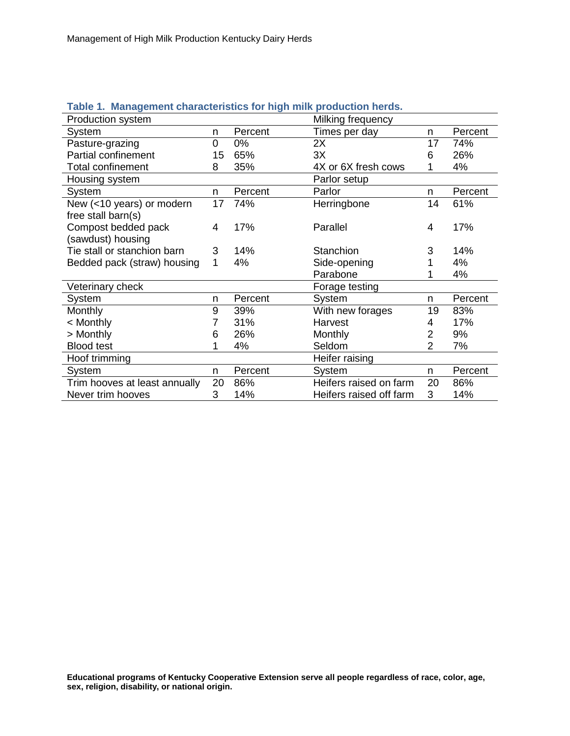| $1.400$ . Thursdown and actorities to main production not |    |         |                         |                |         |
|-----------------------------------------------------------|----|---------|-------------------------|----------------|---------|
| Production system                                         |    |         | Milking frequency       |                |         |
| System                                                    | n  | Percent | Times per day           | n              | Percent |
| Pasture-grazing                                           | 0  | 0%      | 2X                      | 17             | 74%     |
| <b>Partial confinement</b>                                | 15 | 65%     | 3X                      | 6              | 26%     |
| <b>Total confinement</b>                                  | 8  | 35%     | 4X or 6X fresh cows     |                | 4%      |
| Housing system                                            |    |         | Parlor setup            |                |         |
| System                                                    | n. | Percent | Parlor                  | n              | Percent |
| New (<10 years) or modern                                 | 17 | 74%     | Herringbone             | 14             | 61%     |
| free stall barn(s)                                        |    |         |                         |                |         |
| Compost bedded pack                                       | 4  | 17%     | Parallel                | 4              | 17%     |
| (sawdust) housing                                         |    |         |                         |                |         |
| Tie stall or stanchion barn                               | 3  | 14%     | Stanchion               | 3              | 14%     |
| Bedded pack (straw) housing                               | 1  | 4%      | Side-opening            |                | 4%      |
|                                                           |    |         | Parabone                |                | 4%      |
| Veterinary check                                          |    |         | Forage testing          |                |         |
| System                                                    | n  | Percent | System                  | n              | Percent |
| <b>Monthly</b>                                            | 9  | 39%     | With new forages        | 19             | 83%     |
| < Monthly                                                 | 7  | 31%     | Harvest                 | 4              | 17%     |
| > Monthly                                                 | 6  | 26%     | Monthly                 | $\overline{2}$ | 9%      |
| <b>Blood test</b>                                         | 1  | 4%      | Seldom                  | $\mathcal{P}$  | 7%      |
| Hoof trimming                                             |    |         | Heifer raising          |                |         |
| System                                                    | n. | Percent | System                  | n.             | Percent |
| Trim hooves at least annually                             | 20 | 86%     | Heifers raised on farm  | 20             | 86%     |
| Never trim hooves                                         | 3  | 14%     | Heifers raised off farm | 3              | 14%     |
|                                                           |    |         |                         |                |         |

## **Table 1. Management characteristics for high milk production herds.**